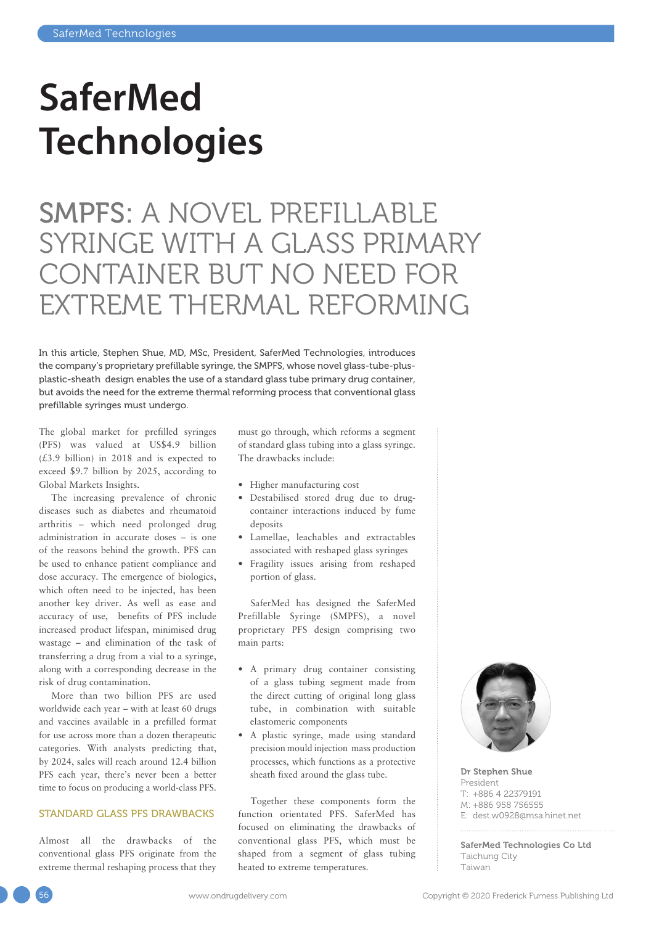## **SaferMed Technologies**

SMPFS: A NOVEL PREFILLABLE SYRINGE WITH A GLASS PRIMARY CONTAINER BUT NO NEED FOR EXTREME THERMAL REFORMING

In this article, Stephen Shue, MD, MSc, President, SaferMed Technologies, introduces the company's proprietary prefillable syringe, the SMPFS, whose novel glass-tube-plusplastic-sheath design enables the use of a standard glass tube primary drug container, but avoids the need for the extreme thermal reforming process that conventional glass prefillable syringes must undergo.

The global market for prefilled syringes (PFS) was valued at US\$4.9 billion (£3.9 billion) in 2018 and is expected to exceed \$9.7 billion by 2025, according to Global Markets Insights.

The increasing prevalence of chronic diseases such as diabetes and rheumatoid arthritis – which need prolonged drug administration in accurate doses – is one of the reasons behind the growth. PFS can be used to enhance patient compliance and dose accuracy. The emergence of biologics, which often need to be injected, has been another key driver. As well as ease and accuracy of use, benefits of PFS include increased product lifespan, minimised drug wastage – and elimination of the task of transferring a drug from a vial to a syringe, along with a corresponding decrease in the risk of drug contamination.

More than two billion PFS are used worldwide each year – with at least 60 drugs and vaccines available in a prefilled format for use across more than a dozen therapeutic categories. With analysts predicting that, by 2024, sales will reach around 12.4 billion PFS each year, there's never been a better time to focus on producing a world-class PFS.

## STANDARD GLASS PFS DRAWBACKS

Almost all the drawbacks of the conventional glass PFS originate from the extreme thermal reshaping process that they must go through, which reforms a segment of standard glass tubing into a glass syringe. The drawbacks include:

- Higher manufacturing cost
- Destabilised stored drug due to drugcontainer interactions induced by fume deposits
- Lamellae, leachables and extractables associated with reshaped glass syringes
- Fragility issues arising from reshaped portion of glass.

SaferMed has designed the SaferMed Prefillable Syringe (SMPFS), a novel proprietary PFS design comprising two main parts:

- A primary drug container consisting of a glass tubing segment made from the direct cutting of original long glass tube, in combination with suitable elastomeric components
- A plastic syringe, made using standard precision mould injection mass production processes, which functions as a protective sheath fixed around the glass tube.

Together these components form the function orientated PFS. SaferMed has focused on eliminating the drawbacks of conventional glass PFS, which must be shaped from a segment of glass tubing heated to extreme temperatures.



Dr Stephen Shue President T: +886 4 22379191 M: +886 958 756555 E: [dest.w0928@msa.hinet.net](mailto:dest.w0928@msa.hinet.net)

SaferMed Technologies Co Ltd Taichung City Taiwan